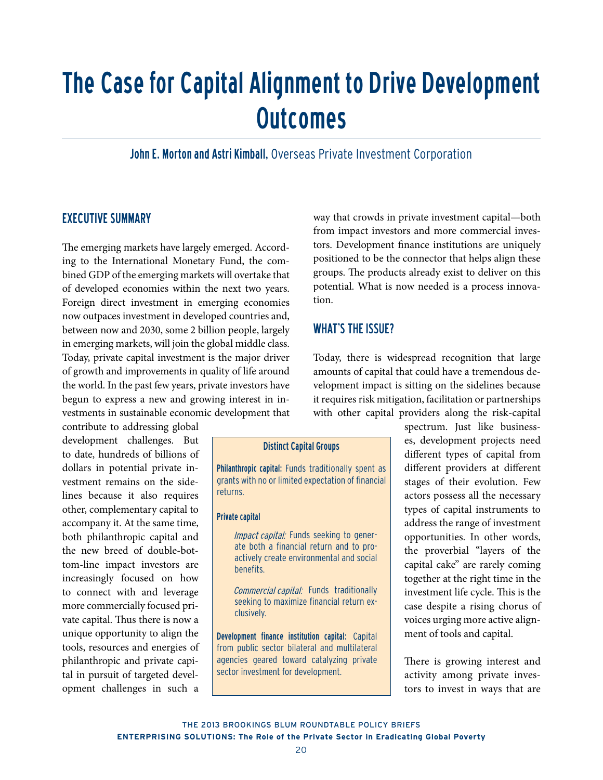# The Case for Capital Alignment to Drive Development **Outcomes**

John E. Morton and Astri Kimball, Overseas Private Investment Corporation

# **EXECUTIVE SUMMARY**

The emerging markets have largely emerged. According to the International Monetary Fund, the combined GDP of the emerging markets will overtake that of developed economies within the next two years. Foreign direct investment in emerging economies now outpaces investment in developed countries and, between now and 2030, some 2 billion people, largely in emerging markets, will join the global middle class. Today, private capital investment is the major driver of growth and improvements in quality of life around the world. In the past few years, private investors have begun to express a new and growing interest in investments in sustainable economic development that

contribute to addressing global development challenges. But to date, hundreds of billions of dollars in potential private investment remains on the sidelines because it also requires other, complementary capital to accompany it. At the same time, both philanthropic capital and the new breed of double-bottom-line impact investors are increasingly focused on how to connect with and leverage more commercially focused private capital. Thus there is now a unique opportunity to align the tools, resources and energies of philanthropic and private capital in pursuit of targeted development challenges in such a way that crowds in private investment capital—both from impact investors and more commercial investors. Development finance institutions are uniquely positioned to be the connector that helps align these groups. The products already exist to deliver on this potential. What is now needed is a process innovation.

# WHAT'S THE ISSUE?

Today, there is widespread recognition that large amounts of capital that could have a tremendous development impact is sitting on the sidelines because it requires risk mitigation, facilitation or partnerships with other capital providers along the risk-capital

## Distinct Capital Groups

Philanthropic capital: Funds traditionally spent as grants with no or limited expectation of financial returns.

## Private capital

Impact capital: Funds seeking to generate both a financial return and to proactively create environmental and social benefits.

Commercial capital: Funds traditionally seeking to maximize financial return exclusively.

Development finance institution capital: Capital from public sector bilateral and multilateral agencies geared toward catalyzing private sector investment for development.

spectrum. Just like businesses, development projects need different types of capital from different providers at different stages of their evolution. Few actors possess all the necessary types of capital instruments to address the range of investment opportunities. In other words, the proverbial "layers of the capital cake" are rarely coming together at the right time in the investment life cycle. This is the case despite a rising chorus of voices urging more active alignment of tools and capital.

There is growing interest and activity among private investors to invest in ways that are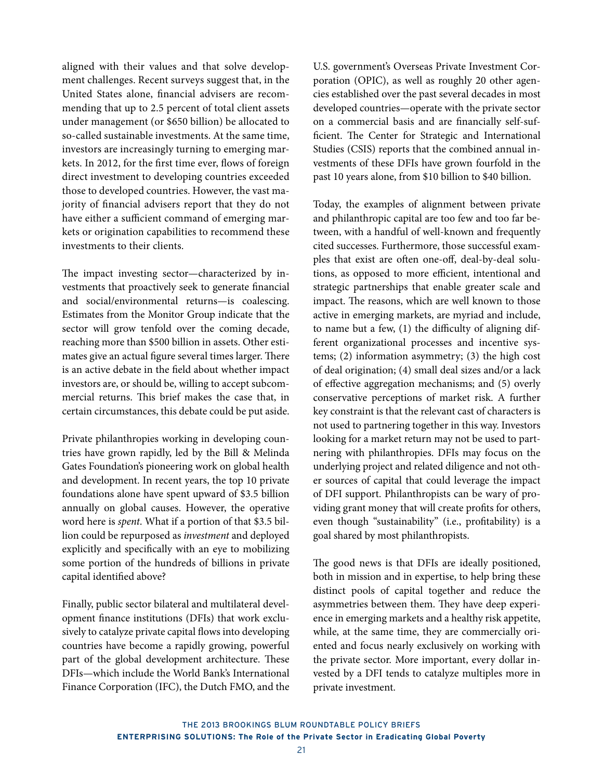aligned with their values and that solve development challenges. Recent surveys suggest that, in the United States alone, financial advisers are recommending that up to 2.5 percent of total client assets under management (or \$650 billion) be allocated to so-called sustainable investments. At the same time, investors are increasingly turning to emerging markets. In 2012, for the first time ever, flows of foreign direct investment to developing countries exceeded those to developed countries. However, the vast majority of financial advisers report that they do not have either a sufficient command of emerging markets or origination capabilities to recommend these investments to their clients.

The impact investing sector—characterized by investments that proactively seek to generate financial and social/environmental returns—is coalescing. Estimates from the Monitor Group indicate that the sector will grow tenfold over the coming decade, reaching more than \$500 billion in assets. Other estimates give an actual figure several times larger. There is an active debate in the field about whether impact investors are, or should be, willing to accept subcommercial returns. This brief makes the case that, in certain circumstances, this debate could be put aside.

Private philanthropies working in developing countries have grown rapidly, led by the Bill & Melinda Gates Foundation's pioneering work on global health and development. In recent years, the top 10 private foundations alone have spent upward of \$3.5 billion annually on global causes. However, the operative word here is *spent*. What if a portion of that \$3.5 billion could be repurposed as *investment* and deployed explicitly and specifically with an eye to mobilizing some portion of the hundreds of billions in private capital identified above?

Finally, public sector bilateral and multilateral development finance institutions (DFIs) that work exclusively to catalyze private capital flows into developing countries have become a rapidly growing, powerful part of the global development architecture. These DFIs—which include the World Bank's International Finance Corporation (IFC), the Dutch FMO, and the

U.S. government's Overseas Private Investment Corporation (OPIC), as well as roughly 20 other agencies established over the past several decades in most developed countries—operate with the private sector on a commercial basis and are financially self-sufficient. The Center for Strategic and International Studies (CSIS) reports that the combined annual investments of these DFIs have grown fourfold in the past 10 years alone, from \$10 billion to \$40 billion.

Today, the examples of alignment between private and philanthropic capital are too few and too far between, with a handful of well-known and frequently cited successes. Furthermore, those successful examples that exist are often one-off, deal-by-deal solutions, as opposed to more efficient, intentional and strategic partnerships that enable greater scale and impact. The reasons, which are well known to those active in emerging markets, are myriad and include, to name but a few, (1) the difficulty of aligning different organizational processes and incentive systems; (2) information asymmetry; (3) the high cost of deal origination; (4) small deal sizes and/or a lack of effective aggregation mechanisms; and (5) overly conservative perceptions of market risk. A further key constraint is that the relevant cast of characters is not used to partnering together in this way. Investors looking for a market return may not be used to partnering with philanthropies. DFIs may focus on the underlying project and related diligence and not other sources of capital that could leverage the impact of DFI support. Philanthropists can be wary of providing grant money that will create profits for others, even though "sustainability" (i.e., profitability) is a goal shared by most philanthropists.

The good news is that DFIs are ideally positioned, both in mission and in expertise, to help bring these distinct pools of capital together and reduce the asymmetries between them. They have deep experience in emerging markets and a healthy risk appetite, while, at the same time, they are commercially oriented and focus nearly exclusively on working with the private sector. More important, every dollar invested by a DFI tends to catalyze multiples more in private investment.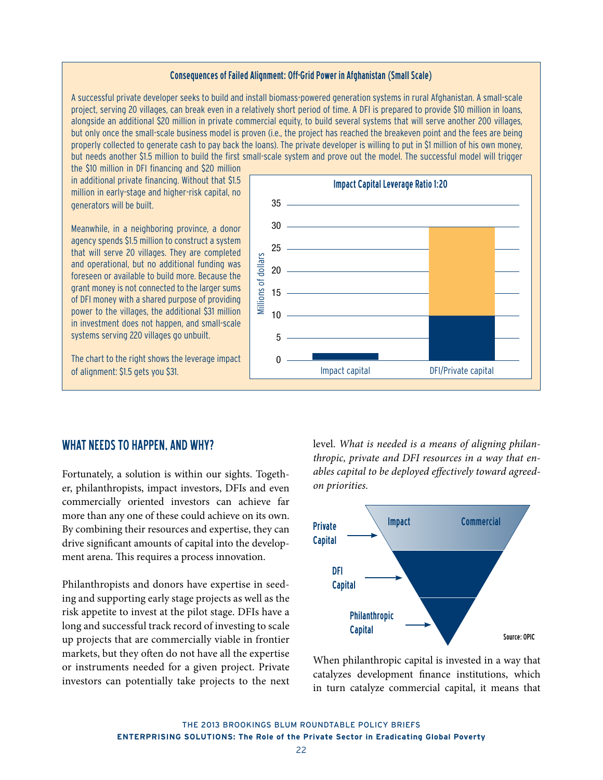## Consequences of Failed Alignment: Off-Grid Power in Afghanistan (Small Scale)

A successful private developer seeks to build and install biomass-powered generation systems in rural Afghanistan. A small-scale project, serving 20 villages, can break even in a relatively short period of time. A DFI is prepared to provide \$10 million in loans, alongside an additional \$20 million in private commercial equity, to build several systems that will serve another 200 villages, but only once the small-scale business model is proven (i.e., the project has reached the breakeven point and the fees are being properly collected to generate cash to pay back the loans). The private developer is willing to put in \$1 million of his own money, but needs another \$1.5 million to build the first small-scale system and prove out the model. The successful model will trigger

the \$10 million in DFI financing and \$20 million in additional private financing. Without that \$1.5 million in early-stage and higher-risk capital, no generators will be built.

Meanwhile, in a neighboring province, a donor agency spends \$1.5 million to construct a system that will serve 20 villages. They are completed and operational, but no additional funding was foreseen or available to build more. Because the grant money is not connected to the larger sums of DFI money with a shared purpose of providing power to the villages, the additional \$31 million in investment does not happen, and small-scale systems serving 220 villages go unbuilt.

The chart to the right shows the leverage impact of alignment: \$1.5 gets you \$31.



# WHAT NEEDS TO HAPPEN, AND WHY?

Fortunately, a solution is within our sights. Together, philanthropists, impact investors, DFIs and even commercially oriented investors can achieve far more than any one of these could achieve on its own. By combining their resources and expertise, they can drive significant amounts of capital into the development arena. This requires a process innovation.

Philanthropists and donors have expertise in seeding and supporting early stage projects as well as the risk appetite to invest at the pilot stage. DFIs have a long and successful track record of investing to scale up projects that are commercially viable in frontier markets, but they often do not have all the expertise or instruments needed for a given project. Private investors can potentially take projects to the next level. *What is needed is a means of aligning philanthropic, private and DFI resources in a way that enables capital to be deployed effectively toward agreedon priorities.*



When philanthropic capital is invested in a way that catalyzes development finance institutions, which in turn catalyze commercial capital, it means that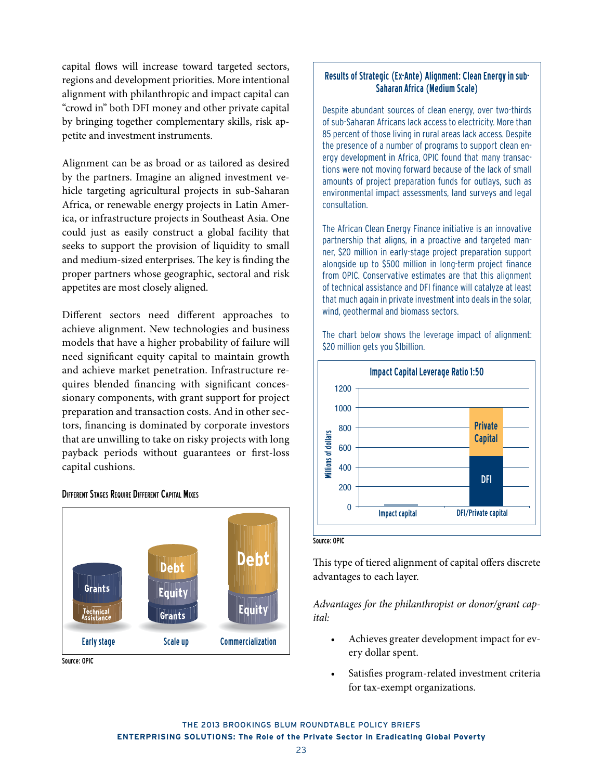capital flows will increase toward targeted sectors, regions and development priorities. More intentional alignment with philanthropic and impact capital can "crowd in" both DFI money and other private capital by bringing together complementary skills, risk appetite and investment instruments.

Alignment can be as broad or as tailored as desired by the partners. Imagine an aligned investment vehicle targeting agricultural projects in sub-Saharan Africa, or renewable energy projects in Latin America, or infrastructure projects in Southeast Asia. One could just as easily construct a global facility that seeks to support the provision of liquidity to small and medium-sized enterprises. The key is finding the proper partners whose geographic, sectoral and risk appetites are most closely aligned.

Different sectors need different approaches to achieve alignment. New technologies and business models that have a higher probability of failure will need significant equity capital to maintain growth and achieve market penetration. Infrastructure requires blended financing with significant concessionary components, with grant support for project preparation and transaction costs. And in other sectors, financing is dominated by corporate investors that are unwilling to take on risky projects with long payback periods without guarantees or first-loss capital cushions.

## Different Stages Require Different Capital Mixes



Source: OPIC

## Results of Strategic (Ex-Ante) Alignment: Clean Energy in sub-Saharan Africa (Medium Scale)

Despite abundant sources of clean energy, over two-thirds of sub-Saharan Africans lack access to electricity. More than 85 percent of those living in rural areas lack access. Despite the presence of a number of programs to support clean energy development in Africa, OPIC found that many transactions were not moving forward because of the lack of small amounts of project preparation funds for outlays, such as environmental impact assessments, land surveys and legal consultation.

The African Clean Energy Finance initiative is an innovative partnership that aligns, in a proactive and targeted manner, \$20 million in early-stage project preparation support alongside up to \$500 million in long-term project finance from OPIC. Conservative estimates are that this alignment of technical assistance and DFI finance will catalyze at least that much again in private investment into deals in the solar, wind, geothermal and biomass sectors.

The chart below shows the leverage impact of alignment: \$20 million gets you \$1billion.



#### Source: OPIC

This type of tiered alignment of capital offers discrete advantages to each layer.

*Advantages for the philanthropist or donor/grant capital:*

- Achieves greater development impact for every dollar spent.
- Satisfies program-related investment criteria for tax-exempt organizations.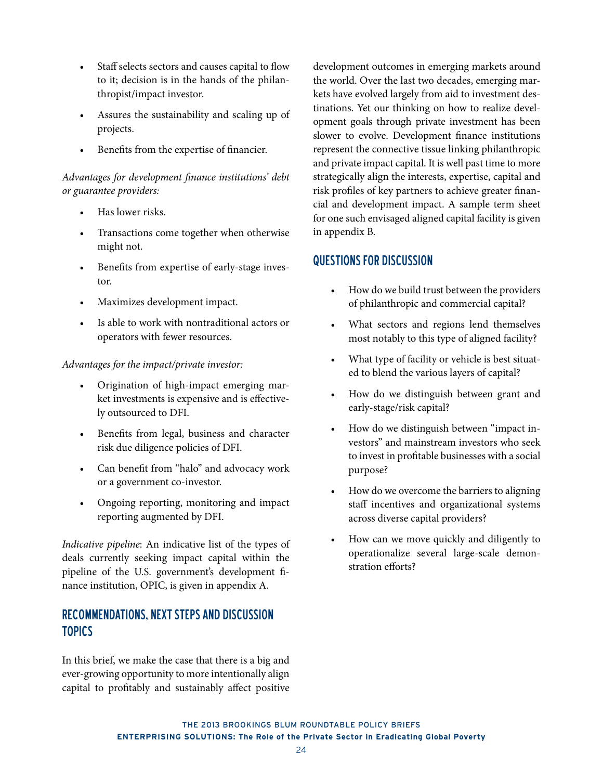- Staff selects sectors and causes capital to flow to it; decision is in the hands of the philanthropist/impact investor.
- Assures the sustainability and scaling up of projects.
- Benefits from the expertise of financier.

# *Advantages for development finance institutions' debt or guarantee providers:*

- Has lower risks.
- Transactions come together when otherwise might not.
- Benefits from expertise of early-stage investor.
- Maximizes development impact.
- Is able to work with nontraditional actors or operators with fewer resources.

## *Advantages for the impact/private investor:*

- Origination of high-impact emerging market investments is expensive and is effectively outsourced to DFI.
- Benefits from legal, business and character risk due diligence policies of DFI.
- Can benefit from "halo" and advocacy work or a government co-investor.
- Ongoing reporting, monitoring and impact reporting augmented by DFI.

*Indicative pipeline*: An indicative list of the types of deals currently seeking impact capital within the pipeline of the U.S. government's development finance institution, OPIC, is given in appendix A.

# Recommendations, Next Steps and Discussion **TOPICS**

In this brief, we make the case that there is a big and ever-growing opportunity to more intentionally align capital to profitably and sustainably affect positive

development outcomes in emerging markets around the world. Over the last two decades, emerging markets have evolved largely from aid to investment destinations. Yet our thinking on how to realize development goals through private investment has been slower to evolve. Development finance institutions represent the connective tissue linking philanthropic and private impact capital. It is well past time to more strategically align the interests, expertise, capital and risk profiles of key partners to achieve greater financial and development impact. A sample term sheet for one such envisaged aligned capital facility is given in appendix B.

# Questions for Discussion

- How do we build trust between the providers of philanthropic and commercial capital?
- What sectors and regions lend themselves most notably to this type of aligned facility?
- What type of facility or vehicle is best situated to blend the various layers of capital?
- How do we distinguish between grant and early-stage/risk capital?
- How do we distinguish between "impact investors" and mainstream investors who seek to invest in profitable businesses with a social purpose?
- How do we overcome the barriers to aligning staff incentives and organizational systems across diverse capital providers?
- How can we move quickly and diligently to operationalize several large-scale demonstration efforts?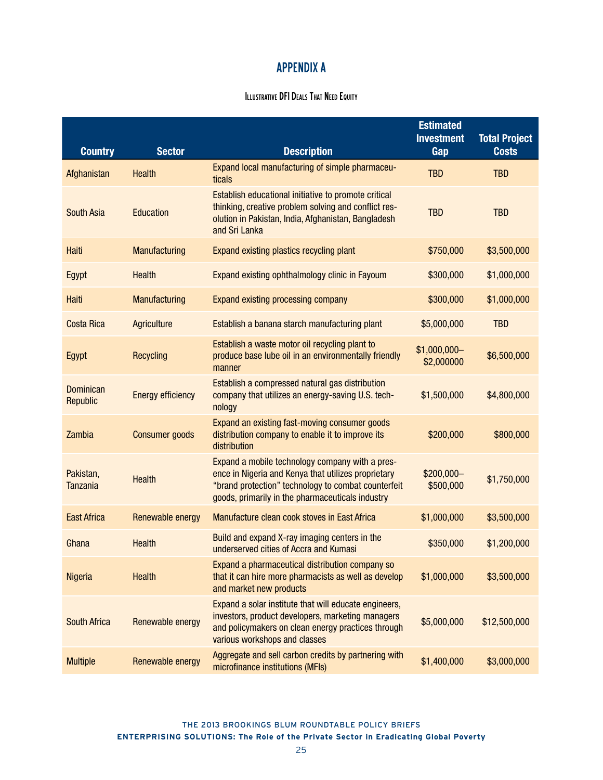# APPENDIX A

# **ILLUSTRATIVE DFI DEALS THAT NEED EQUITY**

| <b>Country</b>                      | <b>Sector</b>            | <b>Description</b>                                                                                                                                                                                                | <b>Estimated</b><br><b>Investment</b><br>Gap | <b>Total Project</b><br><b>Costs</b> |
|-------------------------------------|--------------------------|-------------------------------------------------------------------------------------------------------------------------------------------------------------------------------------------------------------------|----------------------------------------------|--------------------------------------|
| Afghanistan                         | <b>Health</b>            | Expand local manufacturing of simple pharmaceu-<br>ticals                                                                                                                                                         | <b>TBD</b>                                   | <b>TBD</b>                           |
| <b>South Asia</b>                   | <b>Education</b>         | Establish educational initiative to promote critical<br>thinking, creative problem solving and conflict res-<br>olution in Pakistan, India, Afghanistan, Bangladesh<br>and Sri Lanka                              | <b>TBD</b>                                   | <b>TBD</b>                           |
| <b>Haiti</b>                        | <b>Manufacturing</b>     | Expand existing plastics recycling plant                                                                                                                                                                          | \$750,000                                    | \$3,500,000                          |
| Egypt                               | <b>Health</b>            | Expand existing ophthalmology clinic in Fayoum                                                                                                                                                                    | \$300,000                                    | \$1,000,000                          |
| Haiti                               | <b>Manufacturing</b>     | Expand existing processing company                                                                                                                                                                                | \$300,000                                    | \$1,000,000                          |
| <b>Costa Rica</b>                   | Agriculture              | Establish a banana starch manufacturing plant                                                                                                                                                                     | \$5,000,000                                  | <b>TBD</b>                           |
| <b>Egypt</b>                        | <b>Recycling</b>         | Establish a waste motor oil recycling plant to<br>produce base lube oil in an environmentally friendly<br>manner                                                                                                  | \$1,000,000-<br>\$2,000000                   | \$6,500,000                          |
| <b>Dominican</b><br><b>Republic</b> | <b>Energy efficiency</b> | Establish a compressed natural gas distribution<br>company that utilizes an energy-saving U.S. tech-<br>nology                                                                                                    | \$1,500,000                                  | \$4,800,000                          |
| <b>Zambia</b>                       | <b>Consumer goods</b>    | Expand an existing fast-moving consumer goods<br>distribution company to enable it to improve its<br>distribution                                                                                                 | \$200,000                                    | \$800,000                            |
| Pakistan,<br><b>Tanzania</b>        | <b>Health</b>            | Expand a mobile technology company with a pres-<br>ence in Nigeria and Kenya that utilizes proprietary<br>"brand protection" technology to combat counterfeit<br>goods, primarily in the pharmaceuticals industry | $$200,000-$<br>\$500,000                     | \$1,750,000                          |
| <b>East Africa</b>                  | Renewable energy         | Manufacture clean cook stoves in East Africa                                                                                                                                                                      | \$1,000,000                                  | \$3,500,000                          |
| Ghana                               | <b>Health</b>            | Build and expand X-ray imaging centers in the<br>underserved cities of Accra and Kumasi                                                                                                                           | \$350,000                                    | \$1,200,000                          |
| <b>Nigeria</b>                      | <b>Health</b>            | Expand a pharmaceutical distribution company so<br>that it can hire more pharmacists as well as develop<br>and market new products                                                                                | \$1,000,000                                  | \$3,500,000                          |
| <b>South Africa</b>                 | Renewable energy         | Expand a solar institute that will educate engineers,<br>investors, product developers, marketing managers<br>and policymakers on clean energy practices through<br>various workshops and classes                 | \$5,000,000                                  | \$12,500,000                         |
| <b>Multiple</b>                     | Renewable energy         | Aggregate and sell carbon credits by partnering with<br>microfinance institutions (MFIs)                                                                                                                          | \$1,400,000                                  | \$3,000,000                          |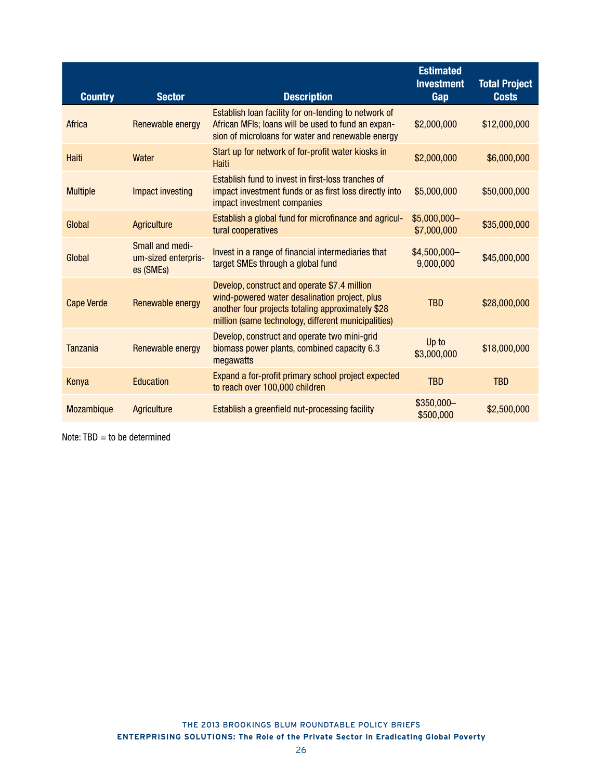| <b>Country</b>    | <b>Sector</b>                                       | <b>Description</b>                                                                                                                                                                                        | <b>Estimated</b><br><b>Investment</b><br>Gap | <b>Total Project</b><br><b>Costs</b> |
|-------------------|-----------------------------------------------------|-----------------------------------------------------------------------------------------------------------------------------------------------------------------------------------------------------------|----------------------------------------------|--------------------------------------|
| Africa            | Renewable energy                                    | Establish loan facility for on-lending to network of<br>African MFIs; loans will be used to fund an expan-<br>sion of microloans for water and renewable energy                                           | \$2,000,000                                  | \$12,000,000                         |
| Haiti             | Water                                               | Start up for network of for-profit water kiosks in<br><b>Haiti</b>                                                                                                                                        | \$2,000,000                                  | \$6,000,000                          |
| <b>Multiple</b>   | Impact investing                                    | Establish fund to invest in first-loss tranches of<br>impact investment funds or as first loss directly into<br>impact investment companies                                                               | \$5,000,000                                  | \$50,000,000                         |
| Global            | <b>Agriculture</b>                                  | Establish a global fund for microfinance and agricul-<br>tural cooperatives                                                                                                                               | $$5,000,000-$<br>\$7,000,000                 | \$35,000,000                         |
| Global            | Small and medi-<br>um-sized enterpris-<br>es (SMEs) | Invest in a range of financial intermediaries that<br>target SMEs through a global fund                                                                                                                   | \$4,500,000-<br>9,000,000                    | \$45,000,000                         |
| <b>Cape Verde</b> | Renewable energy                                    | Develop, construct and operate \$7.4 million<br>wind-powered water desalination project, plus<br>another four projects totaling approximately \$28<br>million (same technology, different municipalities) | <b>TBD</b>                                   | \$28,000,000                         |
| <b>Tanzania</b>   | Renewable energy                                    | Develop, construct and operate two mini-grid<br>biomass power plants, combined capacity 6.3<br>megawatts                                                                                                  | Up to<br>\$3,000,000                         | \$18,000,000                         |
| Kenya             | <b>Education</b>                                    | Expand a for-profit primary school project expected<br>to reach over 100,000 children                                                                                                                     | <b>TBD</b>                                   | <b>TBD</b>                           |
| Mozambique        | Agriculture                                         | Establish a greenfield nut-processing facility                                                                                                                                                            | \$350,000-<br>\$500,000                      | \$2,500,000                          |

Note:  $TBD =$  to be determined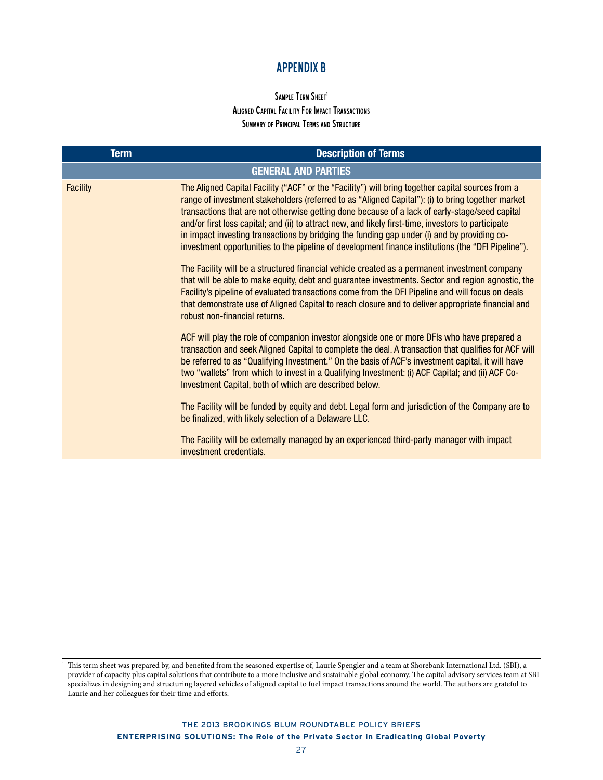# APPENDIX B

# SAMPLE TERM SHEET<sup>1</sup> Aligned Capital Facility For Impact Transactions SUMMARY OF PRINCIPAL TERMS AND STRUCTURE

| <b>Term</b>     | <b>Description of Terms</b>                                                                                                                                                                                                                                                                                                                                                                                                                                                                                                                                                                                          |
|-----------------|----------------------------------------------------------------------------------------------------------------------------------------------------------------------------------------------------------------------------------------------------------------------------------------------------------------------------------------------------------------------------------------------------------------------------------------------------------------------------------------------------------------------------------------------------------------------------------------------------------------------|
|                 | <b>GENERAL AND PARTIES</b>                                                                                                                                                                                                                                                                                                                                                                                                                                                                                                                                                                                           |
| <b>Facility</b> | The Aligned Capital Facility ("ACF" or the "Facility") will bring together capital sources from a<br>range of investment stakeholders (referred to as "Aligned Capital"): (i) to bring together market<br>transactions that are not otherwise getting done because of a lack of early-stage/seed capital<br>and/or first loss capital; and (ii) to attract new, and likely first-time, investors to participate<br>in impact investing transactions by bridging the funding gap under (i) and by providing co-<br>investment opportunities to the pipeline of development finance institutions (the "DFI Pipeline"). |
|                 | The Facility will be a structured financial vehicle created as a permanent investment company<br>that will be able to make equity, debt and guarantee investments. Sector and region agnostic, the<br>Facility's pipeline of evaluated transactions come from the DFI Pipeline and will focus on deals<br>that demonstrate use of Aligned Capital to reach closure and to deliver appropriate financial and<br>robust non-financial returns.                                                                                                                                                                         |
|                 | ACF will play the role of companion investor alongside one or more DFIs who have prepared a<br>transaction and seek Aligned Capital to complete the deal. A transaction that qualifies for ACF will<br>be referred to as "Qualifying Investment." On the basis of ACF's investment capital, it will have<br>two "wallets" from which to invest in a Qualifying Investment: (i) ACF Capital; and (ii) ACF Co-<br>Investment Capital, both of which are described below.                                                                                                                                               |
|                 | The Facility will be funded by equity and debt. Legal form and jurisdiction of the Company are to<br>be finalized, with likely selection of a Delaware LLC.                                                                                                                                                                                                                                                                                                                                                                                                                                                          |
|                 | The Facility will be externally managed by an experienced third-party manager with impact<br>investment credentials.                                                                                                                                                                                                                                                                                                                                                                                                                                                                                                 |

<sup>1</sup> This term sheet was prepared by, and benefited from the seasoned expertise of, Laurie Spengler and a team at Shorebank International Ltd. (SBI), a provider of capacity plus capital solutions that contribute to a more inclusive and sustainable global economy. The capital advisory services team at SBI specializes in designing and structuring layered vehicles of aligned capital to fuel impact transactions around the world. The authors are grateful to Laurie and her colleagues for their time and efforts.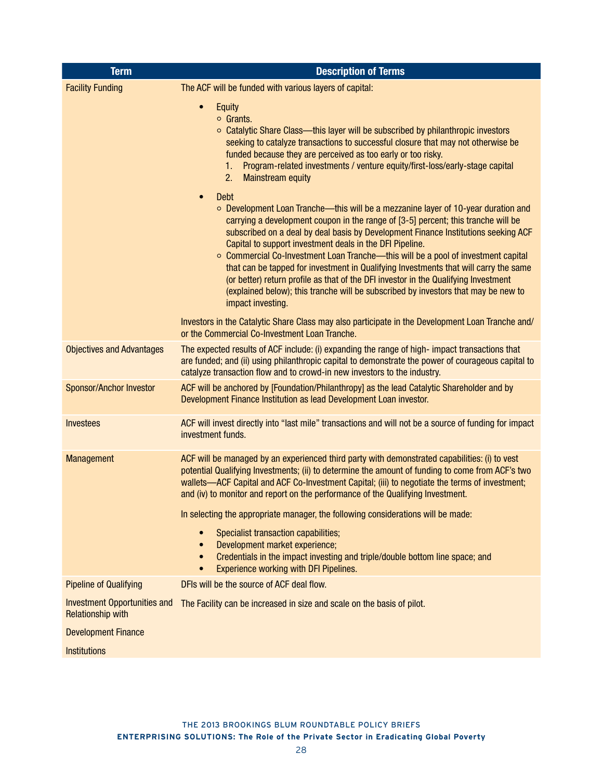| <b>Term</b>                                                     | <b>Description of Terms</b>                                                                                                                                                                                                                                                                                                                                                                                                                                                                                                                                                                                                                                                                                                               |
|-----------------------------------------------------------------|-------------------------------------------------------------------------------------------------------------------------------------------------------------------------------------------------------------------------------------------------------------------------------------------------------------------------------------------------------------------------------------------------------------------------------------------------------------------------------------------------------------------------------------------------------------------------------------------------------------------------------------------------------------------------------------------------------------------------------------------|
| <b>Facility Funding</b>                                         | The ACF will be funded with various layers of capital:                                                                                                                                                                                                                                                                                                                                                                                                                                                                                                                                                                                                                                                                                    |
|                                                                 | $\bullet$<br>Equity<br>$\circ$ Grants.<br>○ Catalytic Share Class—this layer will be subscribed by philanthropic investors<br>seeking to catalyze transactions to successful closure that may not otherwise be<br>funded because they are perceived as too early or too risky.<br>Program-related investments / venture equity/first-loss/early-stage capital<br>1.<br>2.<br><b>Mainstream equity</b>                                                                                                                                                                                                                                                                                                                                     |
|                                                                 | <b>Debt</b><br>$\bullet$<br>$\circ$ Development Loan Tranche—this will be a mezzanine layer of 10-year duration and<br>carrying a development coupon in the range of [3-5] percent; this tranche will be<br>subscribed on a deal by deal basis by Development Finance Institutions seeking ACF<br>Capital to support investment deals in the DFI Pipeline.<br>○ Commercial Co-Investment Loan Tranche—this will be a pool of investment capital<br>that can be tapped for investment in Qualifying Investments that will carry the same<br>(or better) return profile as that of the DFI investor in the Qualifying Investment<br>(explained below); this tranche will be subscribed by investors that may be new to<br>impact investing. |
|                                                                 | Investors in the Catalytic Share Class may also participate in the Development Loan Tranche and/<br>or the Commercial Co-Investment Loan Tranche.                                                                                                                                                                                                                                                                                                                                                                                                                                                                                                                                                                                         |
| <b>Objectives and Advantages</b>                                | The expected results of ACF include: (i) expanding the range of high- impact transactions that<br>are funded; and (ii) using philanthropic capital to demonstrate the power of courageous capital to<br>catalyze transaction flow and to crowd-in new investors to the industry.                                                                                                                                                                                                                                                                                                                                                                                                                                                          |
| Sponsor/Anchor Investor                                         | ACF will be anchored by [Foundation/Philanthropy] as the lead Catalytic Shareholder and by<br>Development Finance Institution as lead Development Loan investor.                                                                                                                                                                                                                                                                                                                                                                                                                                                                                                                                                                          |
| <b>Investees</b>                                                | ACF will invest directly into "last mile" transactions and will not be a source of funding for impact<br>investment funds.                                                                                                                                                                                                                                                                                                                                                                                                                                                                                                                                                                                                                |
| Management                                                      | ACF will be managed by an experienced third party with demonstrated capabilities: (i) to vest<br>potential Qualifying Investments; (ii) to determine the amount of funding to come from ACF's two<br>wallets—ACF Capital and ACF Co-Investment Capital; (iii) to negotiate the terms of investment;<br>and (iv) to monitor and report on the performance of the Qualifying Investment.                                                                                                                                                                                                                                                                                                                                                    |
|                                                                 | In selecting the appropriate manager, the following considerations will be made:<br>Specialist transaction capabilities;<br>$\bullet$                                                                                                                                                                                                                                                                                                                                                                                                                                                                                                                                                                                                     |
|                                                                 | Development market experience;<br>$\bullet$<br>Credentials in the impact investing and triple/double bottom line space; and<br>$\bullet$<br>Experience working with DFI Pipelines.<br>$\bullet$                                                                                                                                                                                                                                                                                                                                                                                                                                                                                                                                           |
| <b>Pipeline of Qualifying</b>                                   | DFIs will be the source of ACF deal flow.                                                                                                                                                                                                                                                                                                                                                                                                                                                                                                                                                                                                                                                                                                 |
| <b>Investment Opportunities and</b><br><b>Relationship with</b> | The Facility can be increased in size and scale on the basis of pilot.                                                                                                                                                                                                                                                                                                                                                                                                                                                                                                                                                                                                                                                                    |
| <b>Development Finance</b>                                      |                                                                                                                                                                                                                                                                                                                                                                                                                                                                                                                                                                                                                                                                                                                                           |
| <b>Institutions</b>                                             |                                                                                                                                                                                                                                                                                                                                                                                                                                                                                                                                                                                                                                                                                                                                           |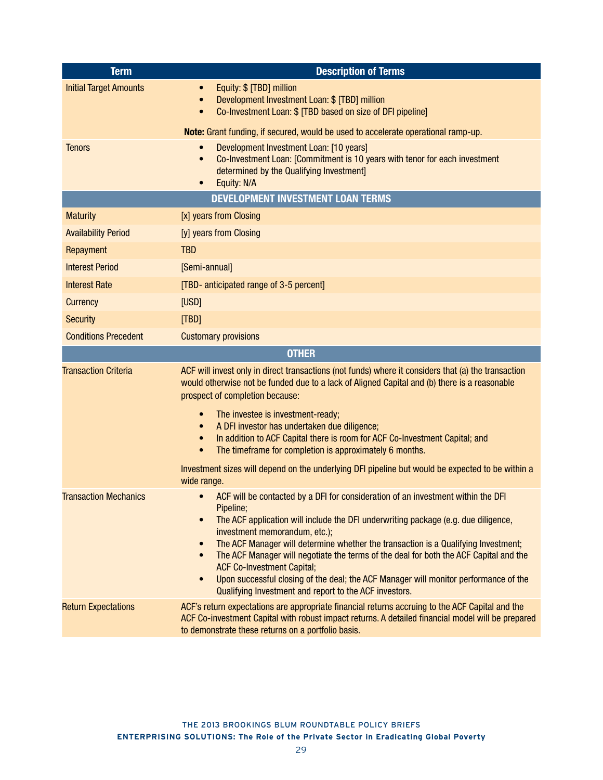| <b>Term</b>                   | <b>Description of Terms</b>                                                                                                                                                                                                                                                                                                                                                                                                                                                                                                                                                                                                                    |
|-------------------------------|------------------------------------------------------------------------------------------------------------------------------------------------------------------------------------------------------------------------------------------------------------------------------------------------------------------------------------------------------------------------------------------------------------------------------------------------------------------------------------------------------------------------------------------------------------------------------------------------------------------------------------------------|
| <b>Initial Target Amounts</b> | Equity: \$ [TBD] million<br>$\bullet$<br>Development Investment Loan: \$ [TBD] million<br>$\bullet$<br>Co-Investment Loan: \$ [TBD based on size of DFI pipeline]<br>$\bullet$                                                                                                                                                                                                                                                                                                                                                                                                                                                                 |
|                               | Note: Grant funding, if secured, would be used to accelerate operational ramp-up.                                                                                                                                                                                                                                                                                                                                                                                                                                                                                                                                                              |
| <b>Tenors</b>                 | Development Investment Loan: [10 years]<br>Co-Investment Loan: [Commitment is 10 years with tenor for each investment<br>$\bullet$<br>determined by the Qualifying Investment]<br>Equity: N/A<br>$\bullet$                                                                                                                                                                                                                                                                                                                                                                                                                                     |
|                               | <b>DEVELOPMENT INVESTMENT LOAN TERMS</b>                                                                                                                                                                                                                                                                                                                                                                                                                                                                                                                                                                                                       |
| <b>Maturity</b>               | [x] years from Closing                                                                                                                                                                                                                                                                                                                                                                                                                                                                                                                                                                                                                         |
| <b>Availability Period</b>    | [y] years from Closing                                                                                                                                                                                                                                                                                                                                                                                                                                                                                                                                                                                                                         |
| Repayment                     | <b>TBD</b>                                                                                                                                                                                                                                                                                                                                                                                                                                                                                                                                                                                                                                     |
| <b>Interest Period</b>        | [Semi-annual]                                                                                                                                                                                                                                                                                                                                                                                                                                                                                                                                                                                                                                  |
| <b>Interest Rate</b>          | [TBD- anticipated range of 3-5 percent]                                                                                                                                                                                                                                                                                                                                                                                                                                                                                                                                                                                                        |
| <b>Currency</b>               | [USD]                                                                                                                                                                                                                                                                                                                                                                                                                                                                                                                                                                                                                                          |
| <b>Security</b>               | [TBD]                                                                                                                                                                                                                                                                                                                                                                                                                                                                                                                                                                                                                                          |
| <b>Conditions Precedent</b>   | <b>Customary provisions</b>                                                                                                                                                                                                                                                                                                                                                                                                                                                                                                                                                                                                                    |
|                               | <b>OTHER</b>                                                                                                                                                                                                                                                                                                                                                                                                                                                                                                                                                                                                                                   |
| <b>Transaction Criteria</b>   | ACF will invest only in direct transactions (not funds) where it considers that (a) the transaction<br>would otherwise not be funded due to a lack of Aligned Capital and (b) there is a reasonable<br>prospect of completion because:<br>The investee is investment-ready;<br>$\bullet$<br>A DFI investor has undertaken due diligence;<br>$\bullet$<br>In addition to ACF Capital there is room for ACF Co-Investment Capital; and<br>$\bullet$<br>The timeframe for completion is approximately 6 months.<br>$\bullet$                                                                                                                      |
|                               | Investment sizes will depend on the underlying DFI pipeline but would be expected to be within a<br>wide range.                                                                                                                                                                                                                                                                                                                                                                                                                                                                                                                                |
| <b>Transaction Mechanics</b>  | ACF will be contacted by a DFI for consideration of an investment within the DFI<br>Pipeline;<br>The ACF application will include the DFI underwriting package (e.g. due diligence,<br>$\bullet$<br>investment memorandum, etc.);<br>The ACF Manager will determine whether the transaction is a Qualifying Investment;<br>$\bullet$<br>The ACF Manager will negotiate the terms of the deal for both the ACF Capital and the<br>$\bullet$<br><b>ACF Co-Investment Capital;</b><br>Upon successful closing of the deal; the ACF Manager will monitor performance of the<br>$\bullet$<br>Qualifying Investment and report to the ACF investors. |
| <b>Return Expectations</b>    | ACF's return expectations are appropriate financial returns accruing to the ACF Capital and the<br>ACF Co-investment Capital with robust impact returns. A detailed financial model will be prepared<br>to demonstrate these returns on a portfolio basis.                                                                                                                                                                                                                                                                                                                                                                                     |